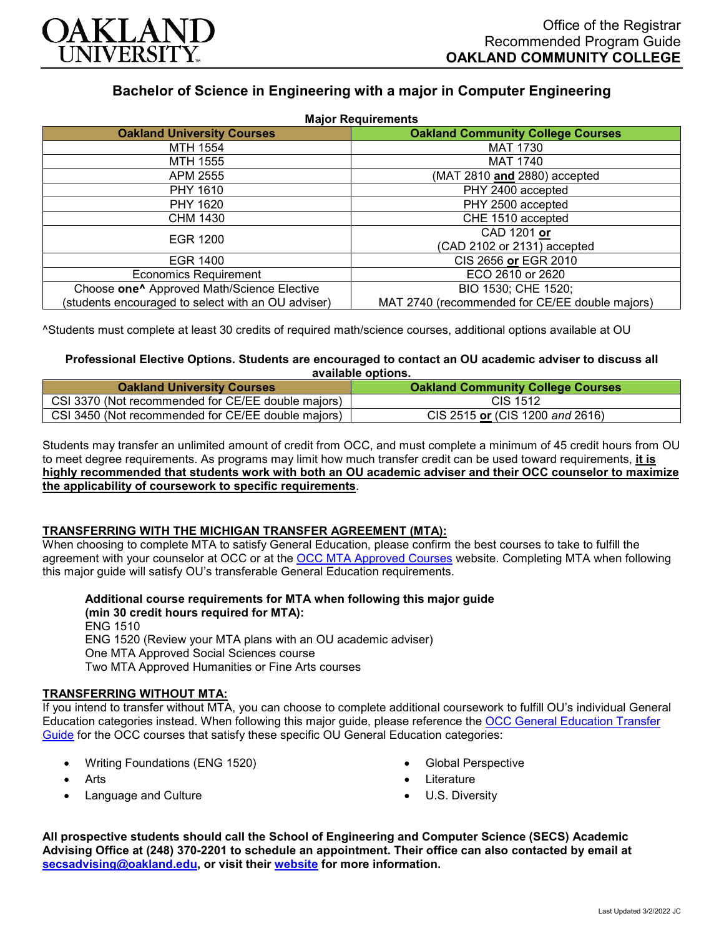

# **Bachelor of Science in Engineering with a major in Computer Engineering**

| <b>Major Requirements</b>                              |                                                |
|--------------------------------------------------------|------------------------------------------------|
| <b>Oakland University Courses</b>                      | <b>Oakland Community College Courses</b>       |
| MTH 1554                                               | <b>MAT 1730</b>                                |
| <b>MTH 1555</b>                                        | MAT 1740                                       |
| APM 2555                                               | (MAT 2810 and 2880) accepted                   |
| PHY 1610                                               | PHY 2400 accepted                              |
| PHY 1620                                               | PHY 2500 accepted                              |
| CHM 1430                                               | CHE 1510 accepted                              |
| <b>EGR 1200</b>                                        | CAD 1201 or                                    |
|                                                        | (CAD 2102 or 2131) accepted                    |
| EGR 1400                                               | CIS 2656 or EGR 2010                           |
| <b>Economics Requirement</b>                           | ECO 2610 or 2620                               |
| Choose one <sup>^</sup> Approved Math/Science Elective | BIO 1530; CHE 1520;                            |
| (students encouraged to select with an OU adviser)     | MAT 2740 (recommended for CE/EE double majors) |

^Students must complete at least 30 credits of required math/science courses, additional options available at OU

## **Professional Elective Options. Students are encouraged to contact an OU academic adviser to discuss all available options.**

| <b>Oakland University Courses</b>                  | <b>Oakland Community College Courses</b> |
|----------------------------------------------------|------------------------------------------|
| CSI 3370 (Not recommended for CE/EE double majors) | CIS 1512                                 |
| CSI 3450 (Not recommended for CE/EE double majors) | CIS 2515 or (CIS 1200 and 2616)          |

Students may transfer an unlimited amount of credit from OCC, and must complete a minimum of 45 credit hours from OU to meet degree requirements. As programs may limit how much transfer credit can be used toward requirements, **it is highly recommended that students work with both an OU academic adviser and their OCC counselor to maximize the applicability of coursework to specific requirements**.

# **TRANSFERRING WITH THE MICHIGAN TRANSFER AGREEMENT (MTA):**

When choosing to complete MTA to satisfy General Education, please confirm the best courses to take to fulfill the agreement with your counselor at OCC or at the [OCC MTA Approved Courses](http://catalog.oaklandcc.edu/graduation-requirements/michigan-transfer-agreement/) website. Completing MTA when following this major guide will satisfy OU's transferable General Education requirements.

**Additional course requirements for MTA when following this major guide (min 30 credit hours required for MTA):**

ENG 1510 ENG 1520 (Review your MTA plans with an OU academic adviser) One MTA Approved Social Sciences course Two MTA Approved Humanities or Fine Arts courses

#### **TRANSFERRING WITHOUT MTA:**

If you intend to transfer without MTA, you can choose to complete additional coursework to fulfill OU's individual General Education categories instead. When following this major guide, please reference the [OCC General Education Transfer](https://www.oakland.edu/Assets/Oakland/program-guides/oakland-community-college/university-general-education-requirements/OCC%20Gen%20Ed.pdf)  [Guide](https://www.oakland.edu/Assets/Oakland/program-guides/oakland-community-college/university-general-education-requirements/OCC%20Gen%20Ed.pdf) for the OCC courses that satisfy these specific OU General Education categories:

- Writing Foundations (ENG 1520)
- **Arts**
- Language and Culture
- Global Perspective
- **Literature**
- U.S. Diversity

**All prospective students should call the School of Engineering and Computer Science (SECS) Academic Advising Office at (248) 370-2201 to schedule an appointment. Their office can also contacted by email at [secsadvising@oakland.edu,](mailto:secsadvising@oakland.edu) or visit their [website](https://wwwp.oakland.edu/secs/advising/) for more information.**